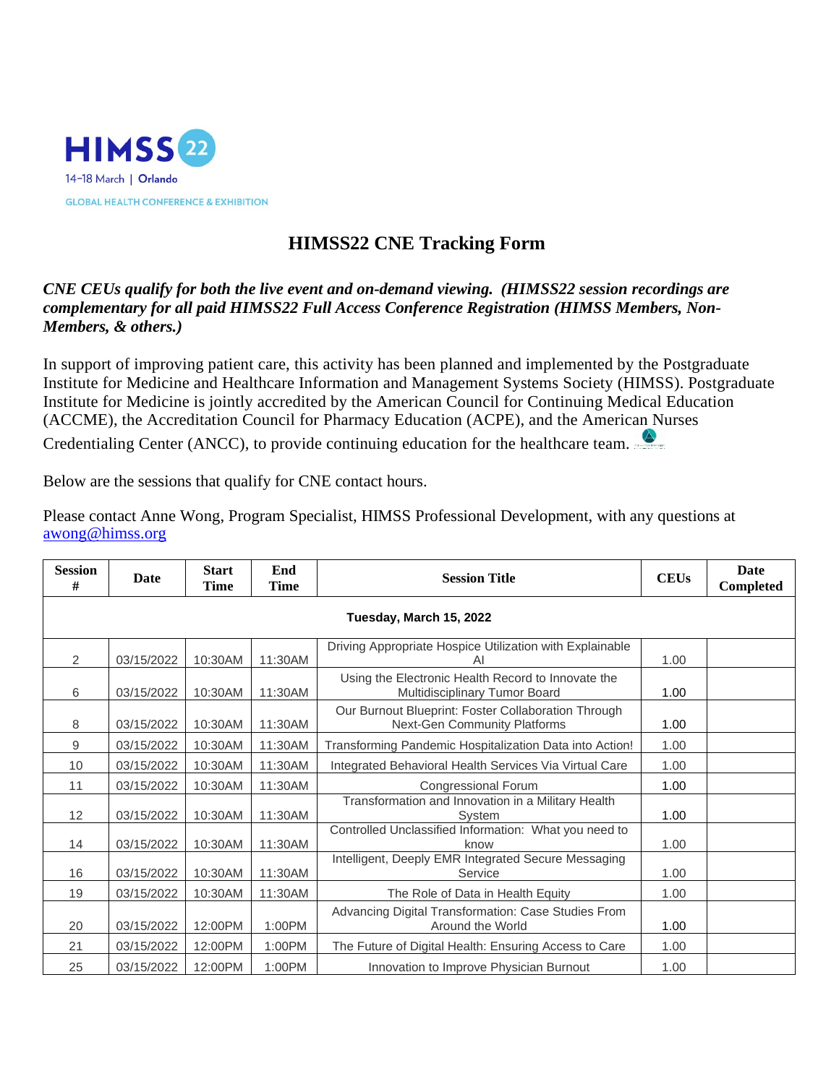

## **HIMSS22 CNE Tracking Form**

## *CNE CEUs qualify for both the live event and on-demand viewing. (HIMSS22 session recordings are complementary for all paid HIMSS22 Full Access Conference Registration (HIMSS Members, Non-Members, & others.)*

In support of improving patient care, this activity has been planned and implemented by the Postgraduate Institute for Medicine and Healthcare Information and Management Systems Society (HIMSS). Postgraduate Institute for Medicine is jointly accredited by the American Council for Continuing Medical Education (ACCME), the Accreditation Council for Pharmacy Education (ACPE), and the American Nurses Credentialing Center (ANCC), to provide continuing education for the healthcare team.

Below are the sessions that qualify for CNE contact hours.

Please contact Anne Wong, Program Specialist, HIMSS Professional Development, with any questions at [awong@himss.org](mailto:anne.wong@himss.org)

| <b>Session</b><br># | Date       | <b>Start</b><br>Time | End<br><b>Time</b> | <b>Session Title</b>                                                                | <b>CEUs</b> | Date<br>Completed |
|---------------------|------------|----------------------|--------------------|-------------------------------------------------------------------------------------|-------------|-------------------|
|                     |            |                      |                    |                                                                                     |             |                   |
| 2                   | 03/15/2022 | 10:30AM              | 11:30AM            | Driving Appropriate Hospice Utilization with Explainable<br>ΑI                      | 1.00        |                   |
| 6                   | 03/15/2022 | 10:30AM              | 11:30AM            | Using the Electronic Health Record to Innovate the<br>Multidisciplinary Tumor Board | 1.00        |                   |
| 8                   | 03/15/2022 | 10:30AM              | 11:30AM            | Our Burnout Blueprint: Foster Collaboration Through<br>Next-Gen Community Platforms | 1.00        |                   |
| 9                   | 03/15/2022 | 10:30AM              | 11:30AM            | Transforming Pandemic Hospitalization Data into Action!                             | 1.00        |                   |
| 10                  | 03/15/2022 | 10:30AM              | 11:30AM            | Integrated Behavioral Health Services Via Virtual Care                              | 1.00        |                   |
| 11                  | 03/15/2022 | 10:30AM              | 11:30AM            | Congressional Forum                                                                 | 1.00        |                   |
| 12                  | 03/15/2022 | 10:30AM              | 11:30AM            | Transformation and Innovation in a Military Health<br>System                        | 1.00        |                   |
| 14                  | 03/15/2022 | 10:30AM              | 11:30AM            | Controlled Unclassified Information: What you need to<br>know                       | 1.00        |                   |
| 16                  | 03/15/2022 | 10:30AM              | 11:30AM            | Intelligent, Deeply EMR Integrated Secure Messaging<br>Service                      | 1.00        |                   |
| 19                  | 03/15/2022 | 10:30AM              | 11:30AM            | The Role of Data in Health Equity                                                   | 1.00        |                   |
| 20                  | 03/15/2022 | 12:00PM              | 1:00PM             | Advancing Digital Transformation: Case Studies From<br>Around the World             | 1.00        |                   |
| 21                  | 03/15/2022 | 12:00PM              | 1:00PM             | The Future of Digital Health: Ensuring Access to Care                               | 1.00        |                   |
| 25                  | 03/15/2022 | 12:00PM              | 1:00PM             | Innovation to Improve Physician Burnout                                             | 1.00        |                   |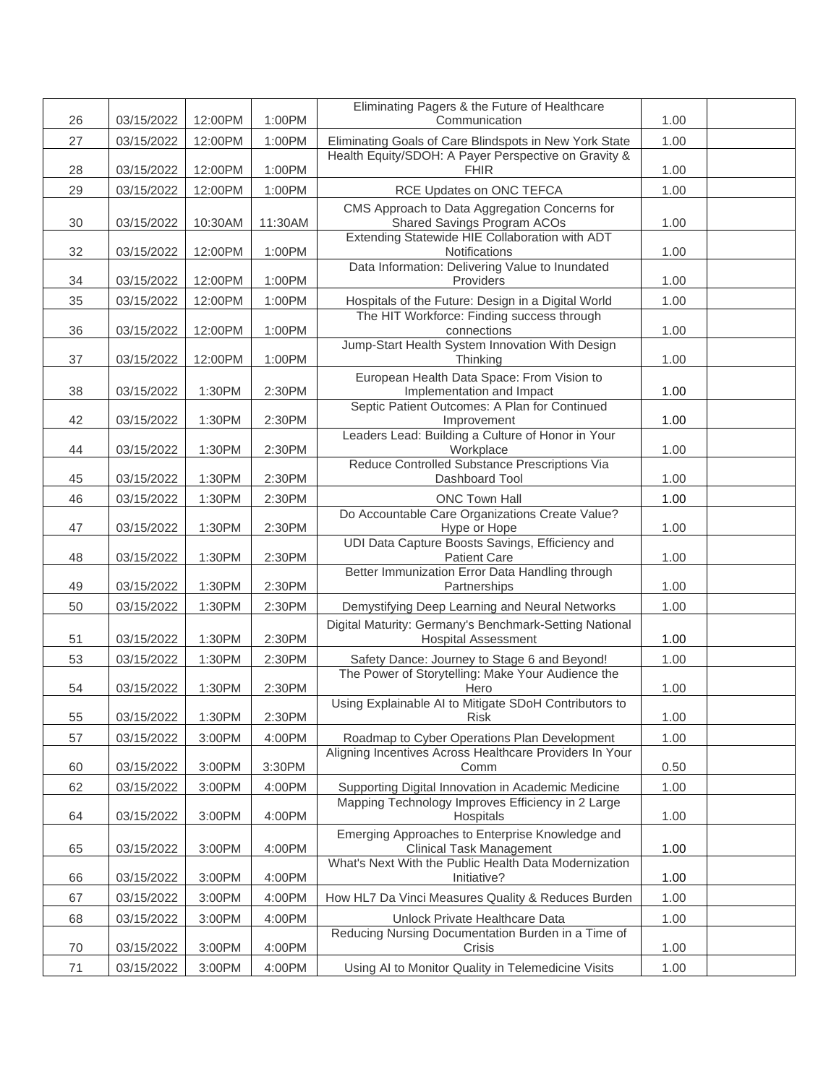|          |                          |                  |                  | Eliminating Pagers & the Future of Healthcare                                                                  |              |  |
|----------|--------------------------|------------------|------------------|----------------------------------------------------------------------------------------------------------------|--------------|--|
| 26       | 03/15/2022               | 12:00PM          | 1:00PM           | Communication                                                                                                  | 1.00         |  |
| 27       | 03/15/2022               | 12:00PM          | 1:00PM           | Eliminating Goals of Care Blindspots in New York State<br>Health Equity/SDOH: A Payer Perspective on Gravity & | 1.00         |  |
| 28       | 03/15/2022               | 12:00PM          | 1:00PM           | <b>FHIR</b>                                                                                                    | 1.00         |  |
| 29       | 03/15/2022               | 12:00PM          | 1:00PM           | RCE Updates on ONC TEFCA                                                                                       | 1.00         |  |
| 30       | 03/15/2022               | 10:30AM          | 11:30AM          | CMS Approach to Data Aggregation Concerns for<br><b>Shared Savings Program ACOs</b>                            | 1.00         |  |
| 32       | 03/15/2022               | 12:00PM          | 1:00PM           | Extending Statewide HIE Collaboration with ADT<br>Notifications                                                | 1.00         |  |
|          |                          |                  |                  | Data Information: Delivering Value to Inundated                                                                |              |  |
| 34       | 03/15/2022               | 12:00PM          | 1:00PM           | Providers                                                                                                      | 1.00         |  |
| 35       | 03/15/2022               | 12:00PM          | 1:00PM           | Hospitals of the Future: Design in a Digital World<br>The HIT Workforce: Finding success through               | 1.00         |  |
| 36       | 03/15/2022               | 12:00PM          | 1:00PM           | connections                                                                                                    | 1.00         |  |
| 37       | 03/15/2022               | 12:00PM          | 1:00PM           | Jump-Start Health System Innovation With Design<br>Thinking                                                    | 1.00         |  |
|          |                          |                  |                  | European Health Data Space: From Vision to                                                                     |              |  |
| 38       | 03/15/2022               | 1:30PM           | 2:30PM           | Implementation and Impact                                                                                      | 1.00         |  |
| 42       | 03/15/2022               | 1:30PM           | 2:30PM           | Septic Patient Outcomes: A Plan for Continued<br>Improvement                                                   | 1.00         |  |
| 44       | 03/15/2022               | 1:30PM           | 2:30PM           | Leaders Lead: Building a Culture of Honor in Your<br>Workplace                                                 | 1.00         |  |
|          |                          |                  |                  | Reduce Controlled Substance Prescriptions Via                                                                  |              |  |
| 45<br>46 | 03/15/2022               | 1:30PM           | 2:30PM           | Dashboard Tool<br><b>ONC Town Hall</b>                                                                         | 1.00         |  |
|          | 03/15/2022               | 1:30PM           | 2:30PM           | Do Accountable Care Organizations Create Value?                                                                | 1.00         |  |
| 47       | 03/15/2022               | 1:30PM           | 2:30PM           | Hype or Hope                                                                                                   | 1.00         |  |
| 48       | 03/15/2022               | 1:30PM           | 2:30PM           | UDI Data Capture Boosts Savings, Efficiency and<br><b>Patient Care</b>                                         | 1.00         |  |
|          |                          |                  |                  | Better Immunization Error Data Handling through<br>Partnerships                                                |              |  |
| 49<br>50 | 03/15/2022<br>03/15/2022 | 1:30PM<br>1:30PM | 2:30PM<br>2:30PM | Demystifying Deep Learning and Neural Networks                                                                 | 1.00<br>1.00 |  |
|          |                          |                  |                  | Digital Maturity: Germany's Benchmark-Setting National                                                         |              |  |
| 51       | 03/15/2022               | 1:30PM           | 2:30PM           | <b>Hospital Assessment</b>                                                                                     | 1.00         |  |
| 53       | 03/15/2022               | 1:30PM           | 2:30PM           | Safety Dance: Journey to Stage 6 and Beyond!                                                                   | 1.00         |  |
| 54       | 03/15/2022               | 1:30PM           | 2:30PM           | The Power of Storytelling: Make Your Audience the<br>Hero                                                      | 1.00         |  |
| 55       | 03/15/2022               | 1:30PM           | 2:30PM           | Using Explainable AI to Mitigate SDoH Contributors to<br><b>Risk</b>                                           | 1.00         |  |
| 57       | 03/15/2022               | 3:00PM           | 4:00PM           | Roadmap to Cyber Operations Plan Development                                                                   | 1.00         |  |
| 60       | 03/15/2022               | 3:00PM           | 3:30PM           | Aligning Incentives Across Healthcare Providers In Your<br>Comm                                                | 0.50         |  |
| 62       | 03/15/2022               | 3:00PM           | 4:00PM           | Supporting Digital Innovation in Academic Medicine                                                             | 1.00         |  |
| 64       | 03/15/2022               | 3:00PM           | 4:00PM           | Mapping Technology Improves Efficiency in 2 Large<br>Hospitals                                                 | 1.00         |  |
| 65       | 03/15/2022               | 3:00PM           | 4:00PM           | Emerging Approaches to Enterprise Knowledge and<br><b>Clinical Task Management</b>                             | 1.00         |  |
|          |                          |                  |                  | What's Next With the Public Health Data Modernization                                                          |              |  |
| 66       | 03/15/2022               | 3:00PM           | 4:00PM           | Initiative?                                                                                                    | 1.00         |  |
| 67       | 03/15/2022               | 3:00PM           | 4:00PM           | How HL7 Da Vinci Measures Quality & Reduces Burden                                                             | 1.00         |  |
| 68       | 03/15/2022               | 3:00PM           | 4:00PM           | Unlock Private Healthcare Data<br>Reducing Nursing Documentation Burden in a Time of                           | 1.00         |  |
| 70       | 03/15/2022               | 3:00PM           | 4:00PM           | Crisis                                                                                                         | 1.00         |  |
| 71       | 03/15/2022               | 3:00PM           | 4:00PM           | Using AI to Monitor Quality in Telemedicine Visits                                                             | 1.00         |  |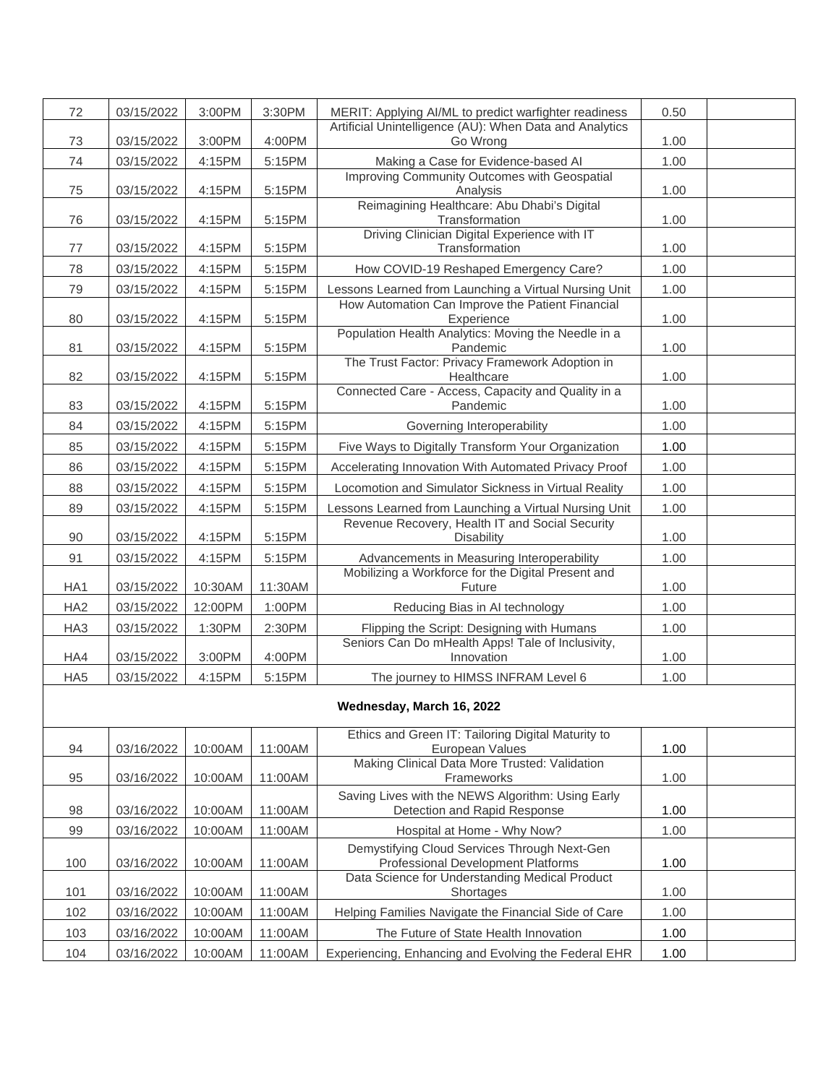| 72              | 03/15/2022 | 3:00PM  | 3:30PM  | MERIT: Applying Al/ML to predict warfighter readiness                                     | 0.50 |  |
|-----------------|------------|---------|---------|-------------------------------------------------------------------------------------------|------|--|
| 73              | 03/15/2022 | 3:00PM  | 4:00PM  | Artificial Unintelligence (AU): When Data and Analytics<br>Go Wrong                       | 1.00 |  |
| 74              | 03/15/2022 | 4:15PM  | 5:15PM  | Making a Case for Evidence-based Al                                                       | 1.00 |  |
| 75              | 03/15/2022 | 4:15PM  | 5:15PM  | Improving Community Outcomes with Geospatial<br>Analysis                                  | 1.00 |  |
| 76              | 03/15/2022 | 4:15PM  | 5:15PM  | Reimagining Healthcare: Abu Dhabi's Digital<br>Transformation                             | 1.00 |  |
| $77$            | 03/15/2022 | 4:15PM  | 5:15PM  | Driving Clinician Digital Experience with IT<br>Transformation                            | 1.00 |  |
| 78              | 03/15/2022 | 4:15PM  | 5:15PM  | How COVID-19 Reshaped Emergency Care?                                                     | 1.00 |  |
| 79              | 03/15/2022 | 4:15PM  | 5:15PM  | Lessons Learned from Launching a Virtual Nursing Unit                                     | 1.00 |  |
| 80              | 03/15/2022 | 4:15PM  | 5:15PM  | How Automation Can Improve the Patient Financial<br>Experience                            | 1.00 |  |
| 81              | 03/15/2022 | 4:15PM  | 5:15PM  | Population Health Analytics: Moving the Needle in a<br>Pandemic                           | 1.00 |  |
| 82              | 03/15/2022 | 4:15PM  | 5:15PM  | The Trust Factor: Privacy Framework Adoption in<br>Healthcare                             | 1.00 |  |
| 83              | 03/15/2022 | 4:15PM  | 5:15PM  | Connected Care - Access, Capacity and Quality in a<br>Pandemic                            | 1.00 |  |
| 84              | 03/15/2022 | 4:15PM  | 5:15PM  | Governing Interoperability                                                                | 1.00 |  |
| 85              | 03/15/2022 | 4:15PM  | 5:15PM  | Five Ways to Digitally Transform Your Organization                                        | 1.00 |  |
| 86              | 03/15/2022 | 4:15PM  | 5:15PM  | Accelerating Innovation With Automated Privacy Proof                                      | 1.00 |  |
| 88              | 03/15/2022 | 4:15PM  | 5:15PM  | Locomotion and Simulator Sickness in Virtual Reality                                      | 1.00 |  |
| 89              | 03/15/2022 | 4:15PM  | 5:15PM  | Lessons Learned from Launching a Virtual Nursing Unit                                     | 1.00 |  |
| 90              | 03/15/2022 | 4:15PM  | 5:15PM  | Revenue Recovery, Health IT and Social Security<br>Disability                             | 1.00 |  |
| 91              | 03/15/2022 | 4:15PM  | 5:15PM  | Advancements in Measuring Interoperability                                                | 1.00 |  |
| HA1             | 03/15/2022 | 10:30AM | 11:30AM | Mobilizing a Workforce for the Digital Present and<br>Future                              | 1.00 |  |
| HA <sub>2</sub> | 03/15/2022 | 12:00PM | 1:00PM  | Reducing Bias in AI technology                                                            | 1.00 |  |
| HA <sub>3</sub> | 03/15/2022 | 1:30PM  | 2:30PM  | Flipping the Script: Designing with Humans                                                | 1.00 |  |
| HA4             | 03/15/2022 | 3:00PM  | 4:00PM  | Seniors Can Do mHealth Apps! Tale of Inclusivity,<br>Innovation                           | 1.00 |  |
| HA <sub>5</sub> | 03/15/2022 | 4:15PM  | 5:15PM  | The journey to HIMSS INFRAM Level 6                                                       | 1.00 |  |
|                 |            |         |         | Wednesday, March 16, 2022                                                                 |      |  |
| 94              | 03/16/2022 | 10:00AM | 11:00AM | Ethics and Green IT: Tailoring Digital Maturity to<br>European Values                     | 1.00 |  |
| 95              | 03/16/2022 | 10:00AM | 11:00AM | Making Clinical Data More Trusted: Validation<br>Frameworks                               | 1.00 |  |
| 98              | 03/16/2022 | 10:00AM | 11:00AM | Saving Lives with the NEWS Algorithm: Using Early<br>Detection and Rapid Response         | 1.00 |  |
| 99              | 03/16/2022 | 10:00AM | 11:00AM | Hospital at Home - Why Now?                                                               | 1.00 |  |
| 100             | 03/16/2022 | 10:00AM | 11:00AM | Demystifying Cloud Services Through Next-Gen<br><b>Professional Development Platforms</b> | 1.00 |  |
| 101             | 03/16/2022 | 10:00AM | 11:00AM | Data Science for Understanding Medical Product<br>Shortages                               | 1.00 |  |
| 102             | 03/16/2022 | 10:00AM | 11:00AM | Helping Families Navigate the Financial Side of Care                                      | 1.00 |  |
| 103             | 03/16/2022 | 10:00AM | 11:00AM | The Future of State Health Innovation                                                     | 1.00 |  |
| 104             | 03/16/2022 | 10:00AM | 11:00AM | Experiencing, Enhancing and Evolving the Federal EHR                                      | 1.00 |  |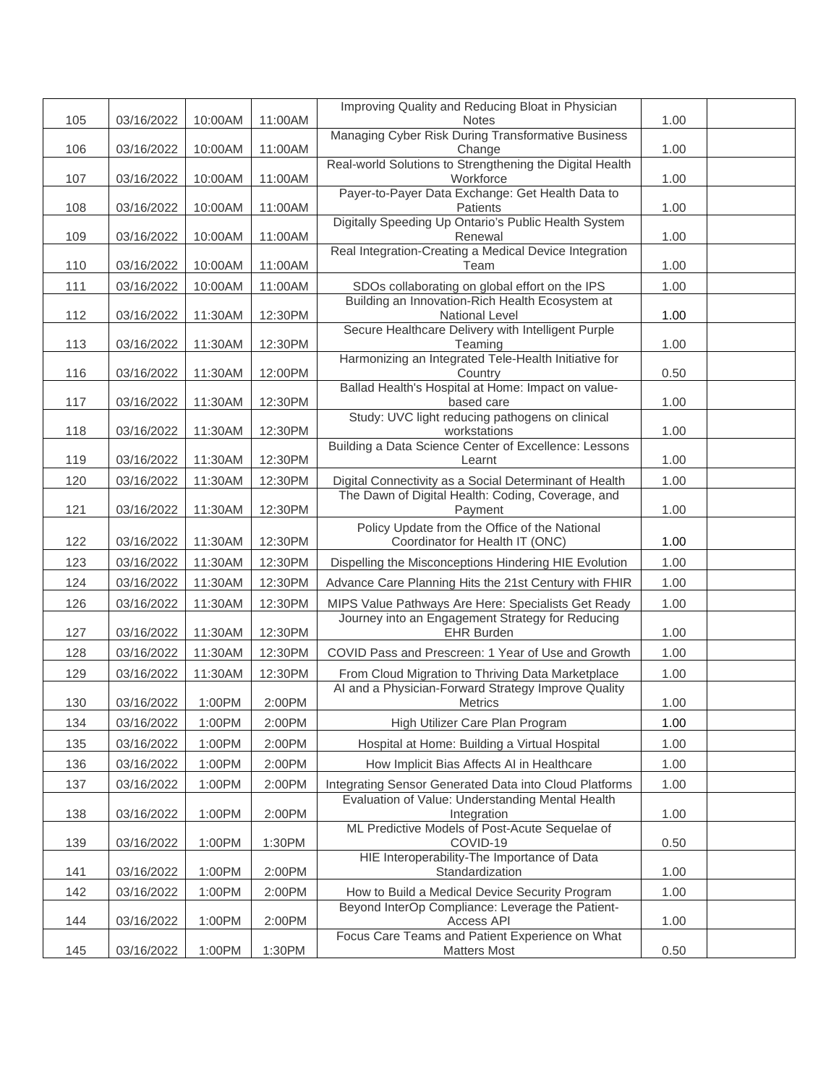|     |            |         |         | Improving Quality and Reducing Bloat in Physician                                                           |      |  |
|-----|------------|---------|---------|-------------------------------------------------------------------------------------------------------------|------|--|
| 105 | 03/16/2022 | 10:00AM | 11:00AM | <b>Notes</b><br>Managing Cyber Risk During Transformative Business                                          | 1.00 |  |
| 106 | 03/16/2022 | 10:00AM | 11:00AM | Change                                                                                                      | 1.00 |  |
|     |            |         |         | Real-world Solutions to Strengthening the Digital Health                                                    |      |  |
| 107 | 03/16/2022 | 10:00AM | 11:00AM | Workforce<br>Payer-to-Payer Data Exchange: Get Health Data to                                               | 1.00 |  |
| 108 | 03/16/2022 | 10:00AM | 11:00AM | Patients                                                                                                    | 1.00 |  |
| 109 | 03/16/2022 | 10:00AM | 11:00AM | Digitally Speeding Up Ontario's Public Health System<br>Renewal                                             | 1.00 |  |
|     |            |         |         | Real Integration-Creating a Medical Device Integration                                                      |      |  |
| 110 | 03/16/2022 | 10:00AM | 11:00AM | Team                                                                                                        | 1.00 |  |
| 111 | 03/16/2022 | 10:00AM | 11:00AM | SDOs collaborating on global effort on the IPS                                                              | 1.00 |  |
| 112 | 03/16/2022 | 11:30AM | 12:30PM | Building an Innovation-Rich Health Ecosystem at<br>National Level                                           | 1.00 |  |
|     |            |         |         | Secure Healthcare Delivery with Intelligent Purple                                                          |      |  |
| 113 | 03/16/2022 | 11:30AM | 12:30PM | Teaming                                                                                                     | 1.00 |  |
| 116 | 03/16/2022 | 11:30AM | 12:00PM | Harmonizing an Integrated Tele-Health Initiative for<br>Country                                             | 0.50 |  |
|     |            |         |         | Ballad Health's Hospital at Home: Impact on value-                                                          |      |  |
| 117 | 03/16/2022 | 11:30AM | 12:30PM | based care                                                                                                  | 1.00 |  |
| 118 | 03/16/2022 | 11:30AM | 12:30PM | Study: UVC light reducing pathogens on clinical<br>workstations                                             | 1.00 |  |
|     |            |         |         | Building a Data Science Center of Excellence: Lessons                                                       |      |  |
| 119 | 03/16/2022 | 11:30AM | 12:30PM | Learnt                                                                                                      | 1.00 |  |
| 120 | 03/16/2022 | 11:30AM | 12:30PM | Digital Connectivity as a Social Determinant of Health<br>The Dawn of Digital Health: Coding, Coverage, and | 1.00 |  |
| 121 | 03/16/2022 | 11:30AM | 12:30PM | Payment                                                                                                     | 1.00 |  |
|     |            |         |         | Policy Update from the Office of the National                                                               |      |  |
| 122 | 03/16/2022 | 11:30AM | 12:30PM | Coordinator for Health IT (ONC)                                                                             | 1.00 |  |
| 123 | 03/16/2022 | 11:30AM | 12:30PM | Dispelling the Misconceptions Hindering HIE Evolution                                                       | 1.00 |  |
| 124 | 03/16/2022 | 11:30AM | 12:30PM | Advance Care Planning Hits the 21st Century with FHIR                                                       | 1.00 |  |
| 126 | 03/16/2022 | 11:30AM | 12:30PM | MIPS Value Pathways Are Here: Specialists Get Ready                                                         | 1.00 |  |
| 127 | 03/16/2022 | 11:30AM | 12:30PM | Journey into an Engagement Strategy for Reducing<br><b>EHR Burden</b>                                       | 1.00 |  |
| 128 | 03/16/2022 | 11:30AM | 12:30PM | COVID Pass and Prescreen: 1 Year of Use and Growth                                                          | 1.00 |  |
| 129 | 03/16/2022 | 11:30AM | 12:30PM | From Cloud Migration to Thriving Data Marketplace                                                           | 1.00 |  |
| 130 | 03/16/2022 | 1:00PM  | 2:00PM  | Al and a Physician-Forward Strategy Improve Quality<br><b>Metrics</b>                                       | 1.00 |  |
| 134 | 03/16/2022 | 1:00PM  | 2:00PM  | High Utilizer Care Plan Program                                                                             | 1.00 |  |
| 135 | 03/16/2022 | 1:00PM  | 2:00PM  | Hospital at Home: Building a Virtual Hospital                                                               | 1.00 |  |
| 136 | 03/16/2022 | 1:00PM  | 2:00PM  | How Implicit Bias Affects AI in Healthcare                                                                  | 1.00 |  |
| 137 | 03/16/2022 | 1:00PM  | 2:00PM  | Integrating Sensor Generated Data into Cloud Platforms                                                      | 1.00 |  |
| 138 | 03/16/2022 | 1:00PM  | 2:00PM  | Evaluation of Value: Understanding Mental Health<br>Integration                                             | 1.00 |  |
|     |            |         |         | ML Predictive Models of Post-Acute Sequelae of                                                              |      |  |
| 139 | 03/16/2022 | 1:00PM  | 1:30PM  | COVID-19<br>HIE Interoperability-The Importance of Data                                                     | 0.50 |  |
| 141 | 03/16/2022 | 1:00PM  | 2:00PM  | Standardization                                                                                             | 1.00 |  |
| 142 | 03/16/2022 | 1:00PM  | 2:00PM  | How to Build a Medical Device Security Program                                                              | 1.00 |  |
| 144 | 03/16/2022 | 1:00PM  | 2:00PM  | Beyond InterOp Compliance: Leverage the Patient-<br>Access API                                              | 1.00 |  |
| 145 | 03/16/2022 | 1:00PM  | 1:30PM  | Focus Care Teams and Patient Experience on What<br><b>Matters Most</b>                                      | 0.50 |  |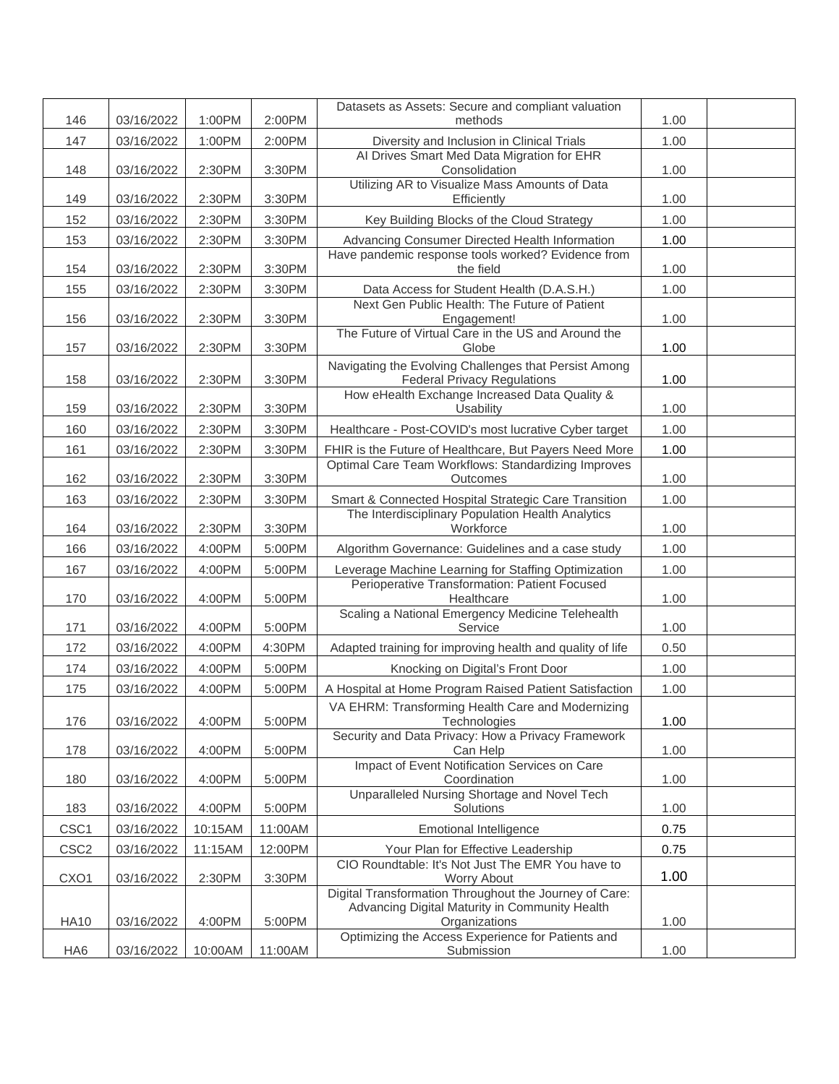|                  |            |         |         | Datasets as Assets: Secure and compliant valuation                                          |      |  |
|------------------|------------|---------|---------|---------------------------------------------------------------------------------------------|------|--|
| 146              | 03/16/2022 | 1:00PM  | 2:00PM  | methods                                                                                     | 1.00 |  |
| 147              | 03/16/2022 | 1:00PM  | 2:00PM  | Diversity and Inclusion in Clinical Trials                                                  | 1.00 |  |
| 148              | 03/16/2022 | 2:30PM  | 3:30PM  | Al Drives Smart Med Data Migration for EHR<br>Consolidation                                 | 1.00 |  |
| 149              | 03/16/2022 | 2:30PM  | 3:30PM  | Utilizing AR to Visualize Mass Amounts of Data<br>Efficiently                               | 1.00 |  |
| 152              | 03/16/2022 | 2:30PM  | 3:30PM  | Key Building Blocks of the Cloud Strategy                                                   | 1.00 |  |
| 153              | 03/16/2022 | 2:30PM  | 3:30PM  | Advancing Consumer Directed Health Information                                              | 1.00 |  |
| 154              | 03/16/2022 | 2:30PM  | 3:30PM  | Have pandemic response tools worked? Evidence from<br>the field                             | 1.00 |  |
| 155              | 03/16/2022 | 2:30PM  | 3:30PM  | Data Access for Student Health (D.A.S.H.)                                                   | 1.00 |  |
| 156              | 03/16/2022 | 2:30PM  | 3:30PM  | Next Gen Public Health: The Future of Patient<br>Engagement!                                | 1.00 |  |
| 157              | 03/16/2022 | 2:30PM  | 3:30PM  | The Future of Virtual Care in the US and Around the<br>Globe                                | 1.00 |  |
| 158              | 03/16/2022 | 2:30PM  | 3:30PM  | Navigating the Evolving Challenges that Persist Among<br><b>Federal Privacy Regulations</b> | 1.00 |  |
| 159              | 03/16/2022 | 2:30PM  | 3:30PM  | How eHealth Exchange Increased Data Quality &<br>Usability                                  | 1.00 |  |
| 160              | 03/16/2022 | 2:30PM  | 3:30PM  | Healthcare - Post-COVID's most lucrative Cyber target                                       | 1.00 |  |
| 161              | 03/16/2022 | 2:30PM  | 3:30PM  | FHIR is the Future of Healthcare, But Payers Need More                                      | 1.00 |  |
| 162              | 03/16/2022 | 2:30PM  | 3:30PM  | Optimal Care Team Workflows: Standardizing Improves<br>Outcomes                             | 1.00 |  |
| 163              | 03/16/2022 | 2:30PM  | 3:30PM  | Smart & Connected Hospital Strategic Care Transition                                        | 1.00 |  |
| 164              | 03/16/2022 | 2:30PM  | 3:30PM  | The Interdisciplinary Population Health Analytics<br>Workforce                              | 1.00 |  |
| 166              | 03/16/2022 | 4:00PM  | 5:00PM  | Algorithm Governance: Guidelines and a case study                                           | 1.00 |  |
| 167              | 03/16/2022 | 4:00PM  | 5:00PM  | Leverage Machine Learning for Staffing Optimization                                         | 1.00 |  |
| 170              | 03/16/2022 | 4:00PM  | 5:00PM  | Perioperative Transformation: Patient Focused<br>Healthcare                                 | 1.00 |  |
| 171              | 03/16/2022 | 4:00PM  | 5:00PM  | Scaling a National Emergency Medicine Telehealth<br>Service                                 | 1.00 |  |
| 172              | 03/16/2022 | 4:00PM  | 4:30PM  | Adapted training for improving health and quality of life                                   | 0.50 |  |
| 174              | 03/16/2022 | 4:00PM  | 5:00PM  | Knocking on Digital's Front Door                                                            | 1.00 |  |
| 175              | 03/16/2022 | 4:00PM  | 5:00PM  | A Hospital at Home Program Raised Patient Satisfaction                                      | 1.00 |  |
| 176              | 03/16/2022 | 4:00PM  | 5:00PM  | VA EHRM: Transforming Health Care and Modernizing<br>Technologies                           | 1.00 |  |
| 178              | 03/16/2022 | 4:00PM  | 5:00PM  | Security and Data Privacy: How a Privacy Framework<br>Can Help                              | 1.00 |  |
| 180              | 03/16/2022 | 4:00PM  | 5:00PM  | Impact of Event Notification Services on Care<br>Coordination                               | 1.00 |  |
| 183              | 03/16/2022 | 4:00PM  | 5:00PM  | Unparalleled Nursing Shortage and Novel Tech<br>Solutions                                   | 1.00 |  |
| CSC1             | 03/16/2022 | 10:15AM | 11:00AM | <b>Emotional Intelligence</b>                                                               | 0.75 |  |
| CSC <sub>2</sub> | 03/16/2022 | 11:15AM | 12:00PM | Your Plan for Effective Leadership                                                          | 0.75 |  |
|                  |            |         |         | CIO Roundtable: It's Not Just The EMR You have to                                           | 1.00 |  |
| CXO1             | 03/16/2022 | 2:30PM  | 3:30PM  | Worry About<br>Digital Transformation Throughout the Journey of Care:                       |      |  |
| <b>HA10</b>      | 03/16/2022 | 4:00PM  | 5:00PM  | Advancing Digital Maturity in Community Health<br>Organizations                             | 1.00 |  |
| HA6              | 03/16/2022 | 10:00AM | 11:00AM | Optimizing the Access Experience for Patients and<br>Submission                             | 1.00 |  |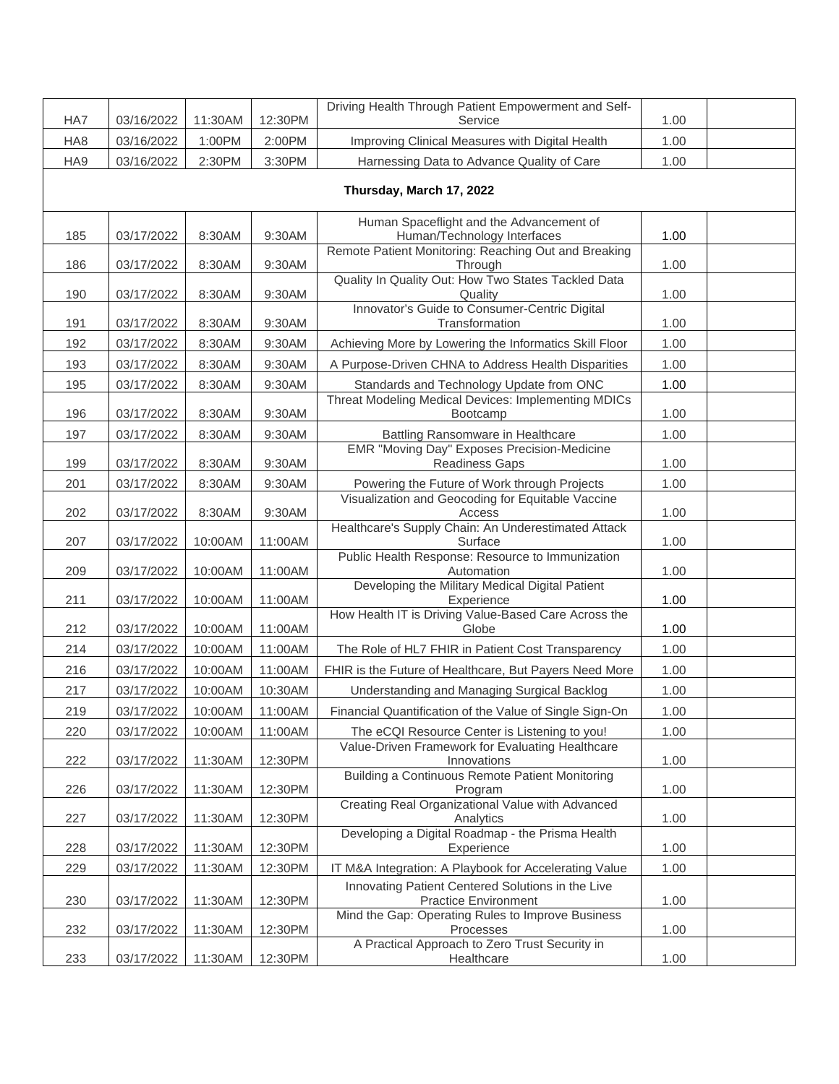| HA7 | 03/16/2022 | 11:30AM | 12:30PM | Driving Health Through Patient Empowerment and Self-<br>Service                  | 1.00 |  |
|-----|------------|---------|---------|----------------------------------------------------------------------------------|------|--|
| HA8 | 03/16/2022 | 1:00PM  | 2:00PM  | Improving Clinical Measures with Digital Health                                  | 1.00 |  |
| HA9 | 03/16/2022 | 2:30PM  | 3:30PM  | Harnessing Data to Advance Quality of Care                                       | 1.00 |  |
|     |            |         |         | Thursday, March 17, 2022                                                         |      |  |
| 185 | 03/17/2022 | 8:30AM  | 9:30AM  | Human Spaceflight and the Advancement of<br>Human/Technology Interfaces          | 1.00 |  |
| 186 | 03/17/2022 | 8:30AM  | 9:30AM  | Remote Patient Monitoring: Reaching Out and Breaking<br>Through                  | 1.00 |  |
| 190 | 03/17/2022 | 8:30AM  | 9:30AM  | Quality In Quality Out: How Two States Tackled Data<br>Quality                   | 1.00 |  |
| 191 | 03/17/2022 | 8:30AM  | 9:30AM  | Innovator's Guide to Consumer-Centric Digital<br>Transformation                  | 1.00 |  |
| 192 | 03/17/2022 | 8:30AM  | 9:30AM  | Achieving More by Lowering the Informatics Skill Floor                           | 1.00 |  |
| 193 | 03/17/2022 | 8:30AM  | 9:30AM  | A Purpose-Driven CHNA to Address Health Disparities                              | 1.00 |  |
| 195 | 03/17/2022 | 8:30AM  | 9:30AM  | Standards and Technology Update from ONC                                         | 1.00 |  |
| 196 | 03/17/2022 | 8:30AM  | 9:30AM  | Threat Modeling Medical Devices: Implementing MDICs<br>Bootcamp                  | 1.00 |  |
| 197 | 03/17/2022 | 8:30AM  | 9:30AM  | Battling Ransomware in Healthcare                                                | 1.00 |  |
| 199 | 03/17/2022 | 8:30AM  | 9:30AM  | EMR "Moving Day" Exposes Precision-Medicine<br><b>Readiness Gaps</b>             | 1.00 |  |
| 201 | 03/17/2022 | 8:30AM  | 9:30AM  | Powering the Future of Work through Projects                                     | 1.00 |  |
| 202 | 03/17/2022 | 8:30AM  | 9:30AM  | Visualization and Geocoding for Equitable Vaccine<br>Access                      | 1.00 |  |
| 207 | 03/17/2022 | 10:00AM | 11:00AM | Healthcare's Supply Chain: An Underestimated Attack<br>Surface                   | 1.00 |  |
| 209 | 03/17/2022 | 10:00AM | 11:00AM | Public Health Response: Resource to Immunization<br>Automation                   | 1.00 |  |
| 211 | 03/17/2022 | 10:00AM | 11:00AM | Developing the Military Medical Digital Patient<br>Experience                    | 1.00 |  |
| 212 | 03/17/2022 | 10:00AM | 11:00AM | How Health IT is Driving Value-Based Care Across the<br>Globe                    | 1.00 |  |
| 214 | 03/17/2022 | 10:00AM | 11:00AM | The Role of HL7 FHIR in Patient Cost Transparency                                | 1.00 |  |
| 216 | 03/17/2022 | 10:00AM | 11:00AM | FHIR is the Future of Healthcare, But Payers Need More                           | 1.00 |  |
| 217 | 03/17/2022 | 10:00AM | 10:30AM | Understanding and Managing Surgical Backlog                                      | 1.00 |  |
| 219 | 03/17/2022 | 10:00AM | 11:00AM | Financial Quantification of the Value of Single Sign-On                          | 1.00 |  |
| 220 | 03/17/2022 | 10:00AM | 11:00AM | The eCQI Resource Center is Listening to you!                                    | 1.00 |  |
| 222 | 03/17/2022 | 11:30AM | 12:30PM | Value-Driven Framework for Evaluating Healthcare<br>Innovations                  | 1.00 |  |
| 226 | 03/17/2022 | 11:30AM | 12:30PM | Building a Continuous Remote Patient Monitoring<br>Program                       | 1.00 |  |
| 227 | 03/17/2022 | 11:30AM | 12:30PM | Creating Real Organizational Value with Advanced<br>Analytics                    | 1.00 |  |
| 228 | 03/17/2022 | 11:30AM | 12:30PM | Developing a Digital Roadmap - the Prisma Health<br>Experience                   | 1.00 |  |
| 229 | 03/17/2022 | 11:30AM | 12:30PM | IT M&A Integration: A Playbook for Accelerating Value                            | 1.00 |  |
| 230 | 03/17/2022 | 11:30AM | 12:30PM | Innovating Patient Centered Solutions in the Live<br><b>Practice Environment</b> | 1.00 |  |
| 232 | 03/17/2022 | 11:30AM | 12:30PM | Mind the Gap: Operating Rules to Improve Business<br>Processes                   | 1.00 |  |
| 233 | 03/17/2022 | 11:30AM | 12:30PM | A Practical Approach to Zero Trust Security in<br>Healthcare                     | 1.00 |  |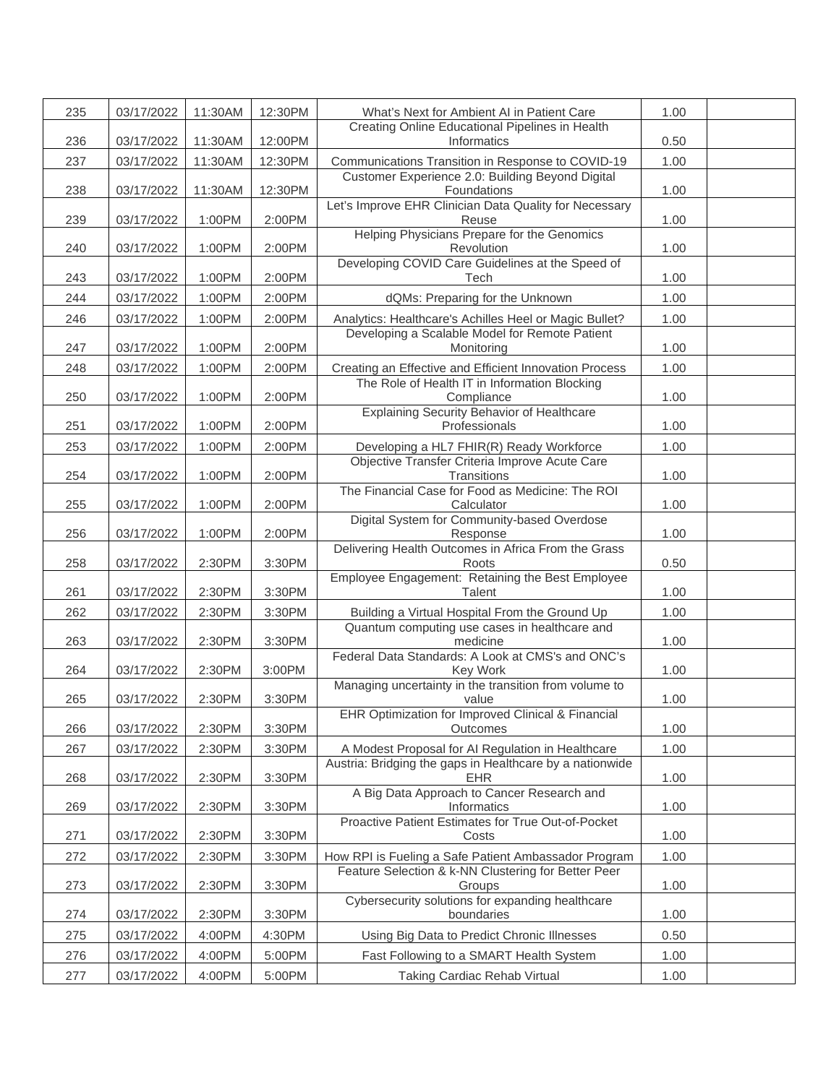| 235 | 03/17/2022 | 11:30AM | 12:30PM | What's Next for Ambient AI in Patient Care                             | 1.00 |  |
|-----|------------|---------|---------|------------------------------------------------------------------------|------|--|
| 236 | 03/17/2022 | 11:30AM | 12:00PM | Creating Online Educational Pipelines in Health<br>Informatics         | 0.50 |  |
| 237 | 03/17/2022 | 11:30AM | 12:30PM | Communications Transition in Response to COVID-19                      | 1.00 |  |
| 238 | 03/17/2022 | 11:30AM | 12:30PM | Customer Experience 2.0: Building Beyond Digital<br>Foundations        | 1.00 |  |
| 239 | 03/17/2022 | 1:00PM  | 2:00PM  | Let's Improve EHR Clinician Data Quality for Necessary<br>Reuse        | 1.00 |  |
| 240 | 03/17/2022 | 1:00PM  | 2:00PM  | Helping Physicians Prepare for the Genomics<br>Revolution              | 1.00 |  |
| 243 | 03/17/2022 | 1:00PM  | 2:00PM  | Developing COVID Care Guidelines at the Speed of<br>Tech               | 1.00 |  |
| 244 | 03/17/2022 | 1:00PM  | 2:00PM  | dQMs: Preparing for the Unknown                                        | 1.00 |  |
| 246 | 03/17/2022 | 1:00PM  | 2:00PM  | Analytics: Healthcare's Achilles Heel or Magic Bullet?                 | 1.00 |  |
| 247 | 03/17/2022 | 1:00PM  | 2:00PM  | Developing a Scalable Model for Remote Patient<br>Monitoring           | 1.00 |  |
| 248 | 03/17/2022 | 1:00PM  | 2:00PM  | Creating an Effective and Efficient Innovation Process                 | 1.00 |  |
| 250 | 03/17/2022 | 1:00PM  | 2:00PM  | The Role of Health IT in Information Blocking<br>Compliance            | 1.00 |  |
| 251 | 03/17/2022 | 1:00PM  | 2:00PM  | <b>Explaining Security Behavior of Healthcare</b><br>Professionals     | 1.00 |  |
| 253 | 03/17/2022 | 1:00PM  | 2:00PM  | Developing a HL7 FHIR(R) Ready Workforce                               | 1.00 |  |
| 254 | 03/17/2022 | 1:00PM  | 2:00PM  | Objective Transfer Criteria Improve Acute Care<br>Transitions          | 1.00 |  |
| 255 | 03/17/2022 | 1:00PM  | 2:00PM  | The Financial Case for Food as Medicine: The ROI<br>Calculator         | 1.00 |  |
|     |            |         |         | Digital System for Community-based Overdose                            |      |  |
| 256 | 03/17/2022 | 1:00PM  | 2:00PM  | Response<br>Delivering Health Outcomes in Africa From the Grass        | 1.00 |  |
| 258 | 03/17/2022 | 2:30PM  | 3:30PM  | Roots<br>Employee Engagement: Retaining the Best Employee              | 0.50 |  |
| 261 | 03/17/2022 | 2:30PM  | 3:30PM  | Talent                                                                 | 1.00 |  |
| 262 | 03/17/2022 | 2:30PM  | 3:30PM  | Building a Virtual Hospital From the Ground Up                         | 1.00 |  |
| 263 | 03/17/2022 | 2:30PM  | 3:30PM  | Quantum computing use cases in healthcare and<br>medicine              | 1.00 |  |
| 264 | 03/17/2022 | 2:30PM  | 3:00PM  | Federal Data Standards: A Look at CMS's and ONC's<br>Key Work          | 1.00 |  |
| 265 | 03/17/2022 | 2:30PM  | 3:30PM  | Managing uncertainty in the transition from volume to<br>value         | 1.00 |  |
| 266 | 03/17/2022 | 2:30PM  | 3:30PM  | EHR Optimization for Improved Clinical & Financial<br>Outcomes         | 1.00 |  |
| 267 | 03/17/2022 | 2:30PM  | 3:30PM  | A Modest Proposal for AI Regulation in Healthcare                      | 1.00 |  |
| 268 | 03/17/2022 | 2:30PM  | 3:30PM  | Austria: Bridging the gaps in Healthcare by a nationwide<br><b>EHR</b> | 1.00 |  |
| 269 | 03/17/2022 | 2:30PM  | 3:30PM  | A Big Data Approach to Cancer Research and<br>Informatics              | 1.00 |  |
| 271 | 03/17/2022 | 2:30PM  | 3:30PM  | Proactive Patient Estimates for True Out-of-Pocket<br>Costs            | 1.00 |  |
| 272 | 03/17/2022 | 2:30PM  | 3:30PM  | How RPI is Fueling a Safe Patient Ambassador Program                   | 1.00 |  |
| 273 | 03/17/2022 | 2:30PM  | 3:30PM  | Feature Selection & k-NN Clustering for Better Peer<br>Groups          | 1.00 |  |
| 274 | 03/17/2022 | 2:30PM  | 3:30PM  | Cybersecurity solutions for expanding healthcare<br>boundaries         | 1.00 |  |
| 275 | 03/17/2022 | 4:00PM  | 4:30PM  | Using Big Data to Predict Chronic Illnesses                            | 0.50 |  |
| 276 | 03/17/2022 | 4:00PM  | 5:00PM  | Fast Following to a SMART Health System                                | 1.00 |  |
| 277 | 03/17/2022 | 4:00PM  | 5:00PM  | Taking Cardiac Rehab Virtual                                           | 1.00 |  |